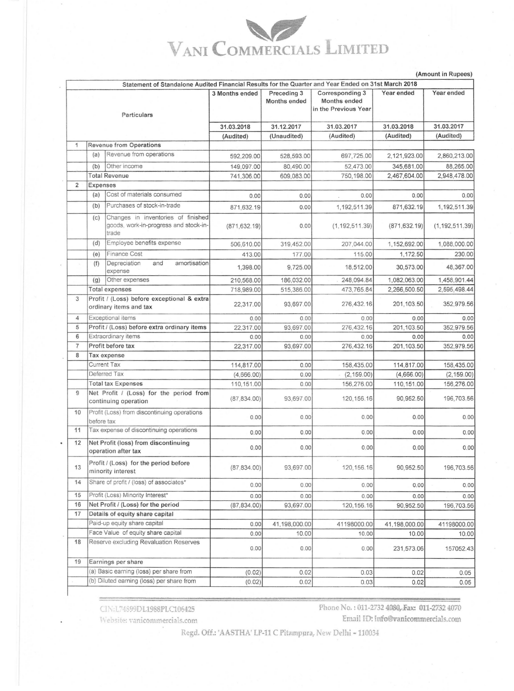## VANI COMMERCIALS LIMITED

(Amount in Rupees)

|                |                                           | Statement of Standalone Audited Financial Results for the Quarter and Year Ended on 31st March 2018 |                |                                    |                                                         |               |                  |
|----------------|-------------------------------------------|-----------------------------------------------------------------------------------------------------|----------------|------------------------------------|---------------------------------------------------------|---------------|------------------|
|                |                                           | Particulars                                                                                         | 3 Months ended | Preceding 3<br><b>Months ended</b> | Corresponding 3<br>Months ended<br>in the Previous Year | Year ended    | Year ended       |
|                |                                           |                                                                                                     |                | 31.12.2017                         | 31.03.2017                                              | 31.03.2018    | 31.03.2017       |
|                |                                           |                                                                                                     | 31.03.2018     |                                    | (Audited)                                               | (Audited)     | (Audited)        |
| 1              |                                           | <b>Revenue from Operations</b>                                                                      | (Audited)      | (Unaudited)                        |                                                         |               |                  |
|                |                                           | Revenue from operations                                                                             |                |                                    |                                                         |               |                  |
|                | (a)                                       |                                                                                                     | 592,209.00     | 528,593.00                         | 697,725.00                                              | 2,121,923.00  | 2,860,213.00     |
|                | (b)                                       | Other income                                                                                        | 149,097.00     | 80,490.00                          | 52,473.00                                               | 345,681.00    | 88,265.00        |
|                |                                           | <b>Total Revenue</b>                                                                                | 741,306.00     | 609,083.00                         | 750,198.00                                              | 2,467,604.00  | 2,948,478.00     |
| $\overline{2}$ | Expenses                                  |                                                                                                     |                |                                    |                                                         |               |                  |
|                | (a)                                       | Cost of materials consumed                                                                          | 0.00           | 0.00                               | 0.00                                                    | 0.00          | 0.00             |
|                | (b)                                       | Purchases of stock-in-trade                                                                         | 871,632.19     | 0.00                               | 1,192,511.39                                            | 871,632.19    | 1,192,511.39     |
|                | (C)                                       | Changes in inventories of finished<br>goods, work-in-progress and stock-in-<br>trade                | (871, 632.19)  | 0.00                               | (1, 192, 511.39)                                        | (871, 632.19) | (1, 192, 511.39) |
|                | (d)                                       | Employee benefits expense                                                                           | 506,610.00     | 319,452.00                         | 207,044.00                                              | 1,152,692.00  | 1,088,000.00     |
|                | (e)                                       | <b>Finance Cost</b>                                                                                 | 413.00         | 177.00                             | 115.00                                                  | 1,172.50      | 230.00           |
|                | (f)                                       | amortisation<br>Depreciation<br>and                                                                 | 1,398.00       | 9,725.00                           | 18,512.00                                               | 30,573.00     | 48,367.00        |
|                |                                           | expense<br>Other expenses                                                                           | 210,568.00     | 186,032.00                         | 248,094.84                                              | 1,082,063.00  | 1,458,901.44     |
|                | (g)<br><b>Total expenses</b>              |                                                                                                     | 718,989.00     | 515,386.00                         | 473,765.84                                              | 2,266,500.50  | 2,595,498.44     |
| 3              |                                           | Profit / (Loss) before exceptional & extra<br>ordinary items and tax                                | 22,317.00      | 93,697.00                          | 276,432.16                                              | 201,103.50    | 352,979.56       |
| 4              |                                           | Exceptional items                                                                                   | 0.00           | 0.00                               | 0.00                                                    | 0.00          | 0.00             |
| 5              |                                           | Profit / (Loss) before extra ordinary items                                                         | 22,317.00      | 93,697.00                          | 276,432.16                                              | 201,103.50    | 352,979.56       |
| 6              |                                           | Extraordinary items                                                                                 | 0.00           | 0.00                               | 0.00                                                    | 0.00          | 0.00             |
| $\overline{7}$ |                                           | Profit before tax                                                                                   | 22,317.00      | 93,697.00                          | 276,432.16                                              | 201,103.50    | 352,979.56       |
| 8              | Tax expense                               |                                                                                                     |                |                                    |                                                         |               |                  |
|                |                                           | <b>Current Tax</b>                                                                                  | 114,817.00     | 0.00                               | 158,435.00                                              | 114,817.00    | 158,435.00       |
|                |                                           | Deferred Tax                                                                                        | (4,666.00)     | 0.00                               | (2, 159.00)                                             | (4,666.00)    | (2, 159.00)      |
|                | <b>Total tax Expenses</b>                 |                                                                                                     | 110,151.00     | 0.00                               | 156,276.00                                              | 110,151.00    | 156,276.00       |
| 9              |                                           | Net Profit / (Loss) for the period from<br>continuing operation                                     | (87, 834.00)   | 93.697.00                          | 120, 156. 16                                            | 90,952.50     | 196,703.56       |
| 10             | before tax                                | Profit (Loss) from discontinuing operations                                                         | 0.00           | 0.00                               | 0.00                                                    | 0.00          | 0.00             |
| 11             |                                           | Tax expense of discontinuing operations                                                             | 0.00           | 0.00                               | 0.00                                                    | 0.00          | 0.00             |
| 12             |                                           | Net Profit (loss) from discontinuing<br>operation after tax                                         | 0.00           | 0.00                               | 0.00                                                    | 0.00          | 0.00             |
| 13             |                                           | Profit / (Loss) for the period before<br>minority interest                                          | (87, 834.00)   | 93,697.00                          | 120, 156. 16                                            | 90,952.50     | 196,703.56       |
| 14             |                                           | Share of profit / (loss) of associates*                                                             | 0.00           | 0.00                               | 0.00                                                    | 0.00          | 0.00             |
| 15             |                                           | Profit (Loss) Minority Interest*                                                                    | 0.00           | 0.00                               | 0.00                                                    | 0.00          | 0.00             |
| 16             |                                           | Net Profit / (Loss) for the period                                                                  | (87, 834.00)   | 93,697.00                          | 120, 156. 16                                            | 90,952.50     | 196,703.56       |
| 17             |                                           | Details of equity share capital                                                                     |                |                                    |                                                         |               |                  |
|                |                                           | Paid-up equity share capital                                                                        | 0.00           | 41,198,000.00                      | 41198000.00                                             | 41,198,000.00 | 41198000.00      |
|                | Face Value of equity share capital        |                                                                                                     | 0.00           | 10.00                              | 10.00                                                   | 10.00         | 10.00            |
| 18             |                                           | Reserve excluding Revaluation Reserves                                                              | 0.00           | 0.00                               | 0.00                                                    | 231,573.06    | 157052.43        |
| 19             |                                           | Earnings per share                                                                                  |                |                                    |                                                         |               |                  |
|                | (a) Basic earning (loss) per share from   |                                                                                                     | (0.02)         | 0.02                               | 0.03                                                    | 0.02          | 0.05             |
|                | (b) Diluted earning (loss) per share from |                                                                                                     | (0.02)         | 0.02                               | 0.03                                                    | 0.02          | 0.05             |

CIN:L74899DL1988PLC106425

Website: vanicommercials.com

Phone No.: 011-2732 4080, Fax: 011-2732 4070

Email ID: info@vanicommercials.com

Regd. Off.: 'AASTHA' LP-11 C Pitampura, New Delhi - 110034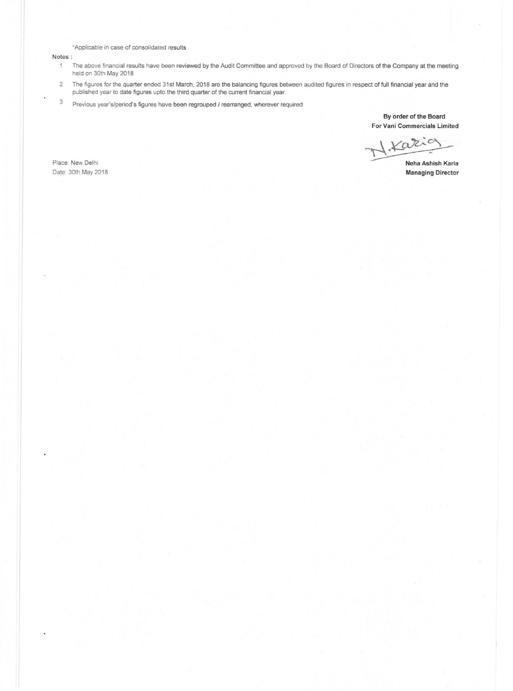·Applicable in case of consolidated results

Notes:

- The above financial results have been reviewed by the Audit Committee and approved by the Board of Directors of the Company at the meeting  $\mathbf{1}$ held on 30th May 2018
- 2 The figures for the quarter ended 31st March, 2018 are the balancing figures between audited figures in respect of full financial year and the published year to date figures upto the third quarter of the current financial year.
- 3 Previous year's/period's figures have been regrouped / rearranged, wherever required

**By order of the Board For Vani Commercials Limited** 

By order of the Board<br>For Vani Commercials Limited<br>Neha Ashish Karia<br>Managing Director

**Managing Director** 

Place: New Delhi Date: 30th May 2018